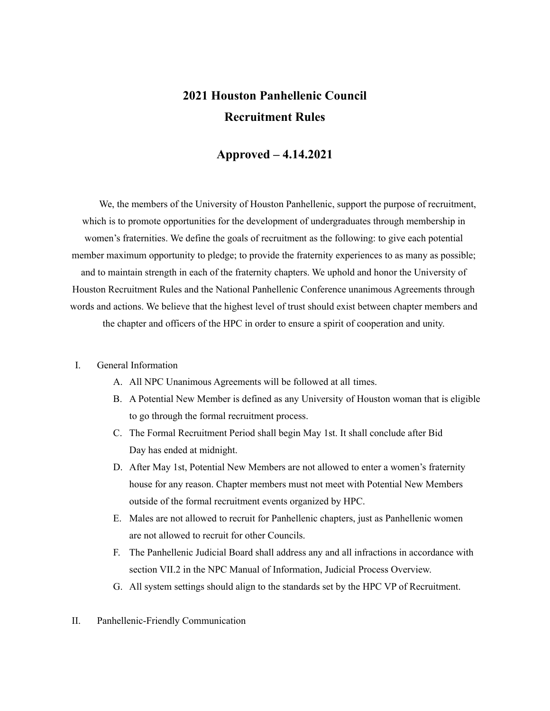# **2021 Houston Panhellenic Council Recruitment Rules**

# **Approved – 4.14.2021**

We, the members of the University of Houston Panhellenic, support the purpose of recruitment, which is to promote opportunities for the development of undergraduates through membership in women's fraternities. We define the goals of recruitment as the following: to give each potential member maximum opportunity to pledge; to provide the fraternity experiences to as many as possible; and to maintain strength in each of the fraternity chapters. We uphold and honor the University of Houston Recruitment Rules and the National Panhellenic Conference unanimous Agreements through words and actions. We believe that the highest level of trust should exist between chapter members and the chapter and officers of the HPC in order to ensure a spirit of cooperation and unity.

#### I. General Information

- A. All NPC Unanimous Agreements will be followed at all times.
- B. A Potential New Member is defined as any University of Houston woman that is eligible to go through the formal recruitment process.
- C. The Formal Recruitment Period shall begin May 1st. It shall conclude after Bid Day has ended at midnight.
- D. After May 1st, Potential New Members are not allowed to enter a women's fraternity house for any reason. Chapter members must not meet with Potential New Members outside of the formal recruitment events organized by HPC.
- E. Males are not allowed to recruit for Panhellenic chapters, just as Panhellenic women are not allowed to recruit for other Councils.
- F. The Panhellenic Judicial Board shall address any and all infractions in accordance with section VII.2 in the NPC Manual of Information, Judicial Process Overview.
- G. All system settings should align to the standards set by the HPC VP of Recruitment.
- II. Panhellenic-Friendly Communication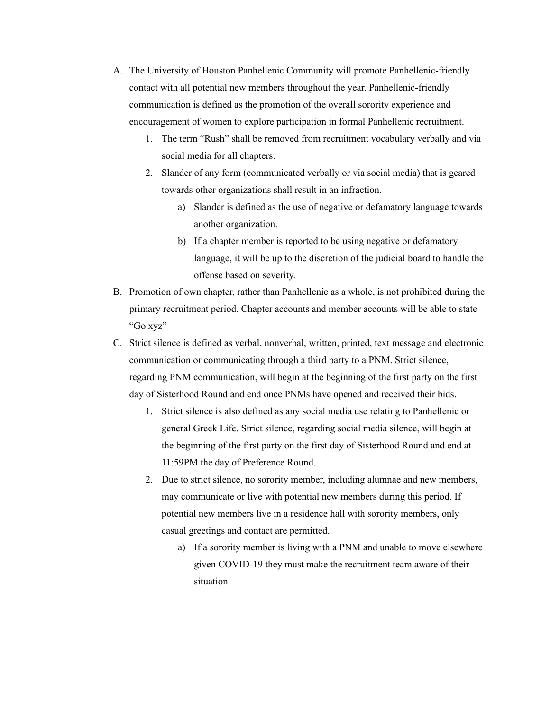- A. The University of Houston Panhellenic Community will promote Panhellenic-friendly contact with all potential new members throughout the year. Panhellenic-friendly communication is defined as the promotion of the overall sorority experience and encouragement of women to explore participation in formal Panhellenic recruitment.
	- 1. The term "Rush" shall be removed from recruitment vocabulary verbally and via social media for all chapters.
	- 2. Slander of any form (communicated verbally or via social media) that is geared towards other organizations shall result in an infraction.
		- a) Slander is defined as the use of negative or defamatory language towards another organization.
		- b) If a chapter member is reported to be using negative or defamatory language, it will be up to the discretion of the judicial board to handle the offense based on severity.
- B. Promotion of own chapter, rather than Panhellenic as a whole, is not prohibited during the primary recruitment period. Chapter accounts and member accounts will be able to state "Go xyz"
- C. Strict silence is defined as verbal, nonverbal, written, printed, text message and electronic communication or communicating through a third party to a PNM. Strict silence, regarding PNM communication, will begin at the beginning of the first party on the first day of Sisterhood Round and end once PNMs have opened and received their bids.
	- 1. Strict silence is also defined as any social media use relating to Panhellenic or general Greek Life. Strict silence, regarding social media silence, will begin at the beginning of the first party on the first day of Sisterhood Round and end at 11:59PM the day of Preference Round.
	- 2. Due to strict silence, no sorority member, including alumnae and new members, may communicate or live with potential new members during this period. If potential new members live in a residence hall with sorority members, only casual greetings and contact are permitted.
		- a) If a sorority member is living with a PNM and unable to move elsewhere given COVID-19 they must make the recruitment team aware of their situation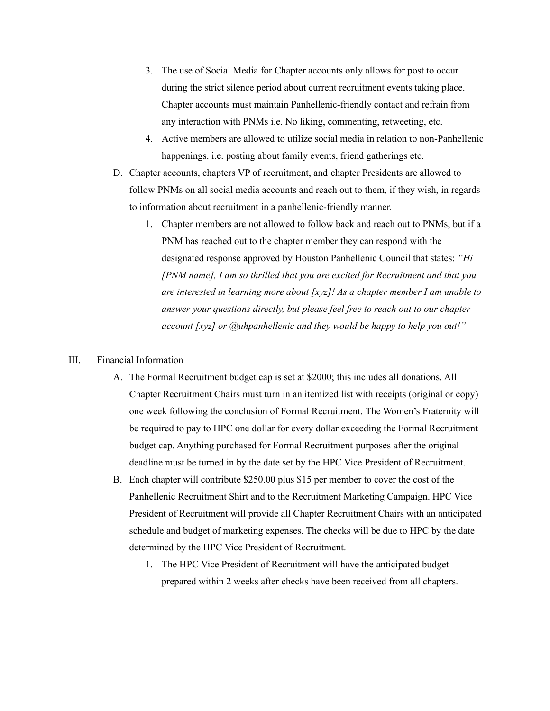- 3. The use of Social Media for Chapter accounts only allows for post to occur during the strict silence period about current recruitment events taking place. Chapter accounts must maintain Panhellenic-friendly contact and refrain from any interaction with PNMs i.e. No liking, commenting, retweeting, etc.
- 4. Active members are allowed to utilize social media in relation to non-Panhellenic happenings. i.e. posting about family events, friend gatherings etc.
- D. Chapter accounts, chapters VP of recruitment, and chapter Presidents are allowed to follow PNMs on all social media accounts and reach out to them, if they wish, in regards to information about recruitment in a panhellenic-friendly manner.
	- 1. Chapter members are not allowed to follow back and reach out to PNMs, but if a PNM has reached out to the chapter member they can respond with the designated response approved by Houston Panhellenic Council that states: *"Hi [PNM name], I am so thrilled that you are excited for Recruitment and that you are interested in learning more about [xyz]! As a chapter member I am unable to answer your questions directly, but please feel free to reach out to our chapter account [xyz] or @uhpanhellenic and they would be happy to help you out!"*

#### III. Financial Information

- A. The Formal Recruitment budget cap is set at \$2000; this includes all donations. All Chapter Recruitment Chairs must turn in an itemized list with receipts (original or copy) one week following the conclusion of Formal Recruitment. The Women's Fraternity will be required to pay to HPC one dollar for every dollar exceeding the Formal Recruitment budget cap. Anything purchased for Formal Recruitment purposes after the original deadline must be turned in by the date set by the HPC Vice President of Recruitment.
- B. Each chapter will contribute \$250.00 plus \$15 per member to cover the cost of the Panhellenic Recruitment Shirt and to the Recruitment Marketing Campaign. HPC Vice President of Recruitment will provide all Chapter Recruitment Chairs with an anticipated schedule and budget of marketing expenses. The checks will be due to HPC by the date determined by the HPC Vice President of Recruitment.
	- 1. The HPC Vice President of Recruitment will have the anticipated budget prepared within 2 weeks after checks have been received from all chapters.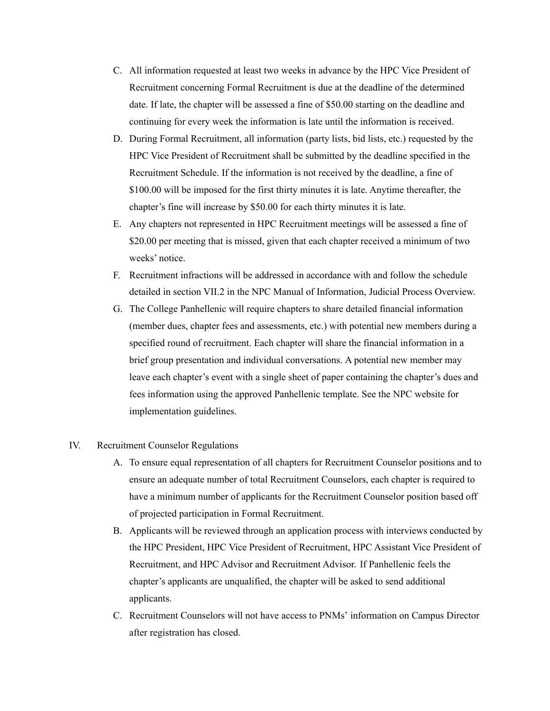- C. All information requested at least two weeks in advance by the HPC Vice President of Recruitment concerning Formal Recruitment is due at the deadline of the determined date. If late, the chapter will be assessed a fine of \$50.00 starting on the deadline and continuing for every week the information is late until the information is received.
- D. During Formal Recruitment, all information (party lists, bid lists, etc.) requested by the HPC Vice President of Recruitment shall be submitted by the deadline specified in the Recruitment Schedule. If the information is not received by the deadline, a fine of \$100.00 will be imposed for the first thirty minutes it is late. Anytime thereafter, the chapter's fine will increase by \$50.00 for each thirty minutes it is late.
- E. Any chapters not represented in HPC Recruitment meetings will be assessed a fine of \$20.00 per meeting that is missed, given that each chapter received a minimum of two weeks' notice.
- F. Recruitment infractions will be addressed in accordance with and follow the schedule detailed in section VII.2 in the NPC Manual of Information, Judicial Process Overview.
- G. The College Panhellenic will require chapters to share detailed financial information (member dues, chapter fees and assessments, etc.) with potential new members during a specified round of recruitment. Each chapter will share the financial information in a brief group presentation and individual conversations. A potential new member may leave each chapter's event with a single sheet of paper containing the chapter's dues and fees information using the approved Panhellenic template. See the NPC website for implementation guidelines.

#### IV. Recruitment Counselor Regulations

- A. To ensure equal representation of all chapters for Recruitment Counselor positions and to ensure an adequate number of total Recruitment Counselors, each chapter is required to have a minimum number of applicants for the Recruitment Counselor position based off of projected participation in Formal Recruitment.
- B. Applicants will be reviewed through an application process with interviews conducted by the HPC President, HPC Vice President of Recruitment, HPC Assistant Vice President of Recruitment, and HPC Advisor and Recruitment Advisor. If Panhellenic feels the chapter's applicants are unqualified, the chapter will be asked to send additional applicants.
- C. Recruitment Counselors will not have access to PNMs' information on Campus Director after registration has closed.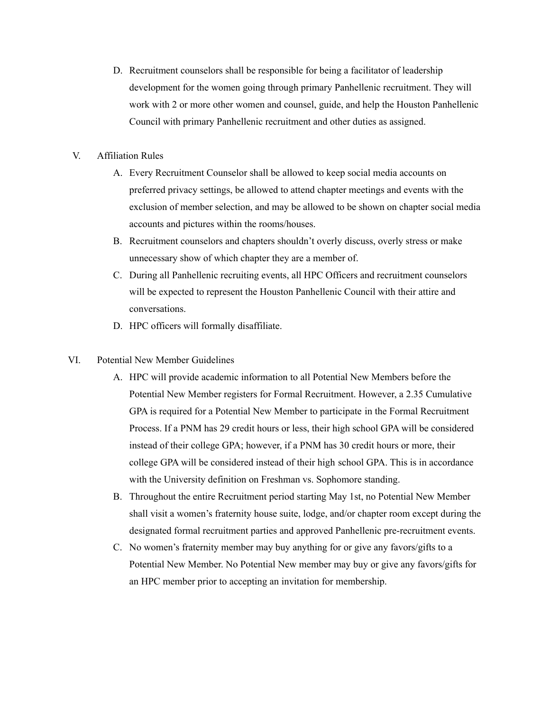- D. Recruitment counselors shall be responsible for being a facilitator of leadership development for the women going through primary Panhellenic recruitment. They will work with 2 or more other women and counsel, guide, and help the Houston Panhellenic Council with primary Panhellenic recruitment and other duties as assigned.
- V. Affiliation Rules
	- A. Every Recruitment Counselor shall be allowed to keep social media accounts on preferred privacy settings, be allowed to attend chapter meetings and events with the exclusion of member selection, and may be allowed to be shown on chapter social media accounts and pictures within the rooms/houses.
	- B. Recruitment counselors and chapters shouldn't overly discuss, overly stress or make unnecessary show of which chapter they are a member of.
	- C. During all Panhellenic recruiting events, all HPC Officers and recruitment counselors will be expected to represent the Houston Panhellenic Council with their attire and conversations.
	- D. HPC officers will formally disaffiliate.
- VI. Potential New Member Guidelines
	- A. HPC will provide academic information to all Potential New Members before the Potential New Member registers for Formal Recruitment. However, a 2.35 Cumulative GPA is required for a Potential New Member to participate in the Formal Recruitment Process. If a PNM has 29 credit hours or less, their high school GPA will be considered instead of their college GPA; however, if a PNM has 30 credit hours or more, their college GPA will be considered instead of their high school GPA. This is in accordance with the University definition on Freshman vs. Sophomore standing.
	- B. Throughout the entire Recruitment period starting May 1st, no Potential New Member shall visit a women's fraternity house suite, lodge, and/or chapter room except during the designated formal recruitment parties and approved Panhellenic pre-recruitment events.
	- C. No women's fraternity member may buy anything for or give any favors/gifts to a Potential New Member. No Potential New member may buy or give any favors/gifts for an HPC member prior to accepting an invitation for membership.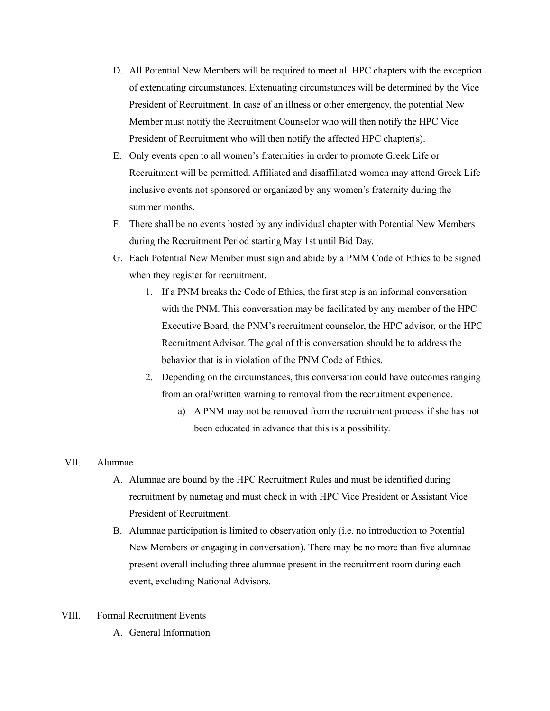- D. All Potential New Members will be required to meet all HPC chapters with the exception of extenuating circumstances. Extenuating circumstances will be determined by the Vice President of Recruitment. In case of an illness or other emergency, the potential New Member must notify the Recruitment Counselor who will then notify the HPC Vice President of Recruitment who will then notify the affected HPC chapter(s).
- E. Only events open to all women's fraternities in order to promote Greek Life or Recruitment will be permitted. Affiliated and disaffiliated women may attend Greek Life inclusive events not sponsored or organized by any women's fraternity during the summer months.
- F. There shall be no events hosted by any individual chapter with Potential New Members during the Recruitment Period starting May 1st until Bid Day.
- G. Each Potential New Member must sign and abide by a PMM Code of Ethics to be signed when they register for recruitment.
	- 1. If a PNM breaks the Code of Ethics, the first step is an informal conversation with the PNM. This conversation may be facilitated by any member of the HPC Executive Board, the PNM's recruitment counselor, the HPC advisor, or the HPC Recruitment Advisor. The goal of this conversation should be to address the behavior that is in violation of the PNM Code of Ethics.
	- 2. Depending on the circumstances, this conversation could have outcomes ranging from an oral/written warning to removal from the recruitment experience.
		- a) A PNM may not be removed from the recruitment process if she has not been educated in advance that this is a possibility.

#### VII. Alumnae

- A. Alumnae are bound by the HPC Recruitment Rules and must be identified during recruitment by nametag and must check in with HPC Vice President or Assistant Vice President of Recruitment.
- B. Alumnae participation is limited to observation only (i.e. no introduction to Potential New Members or engaging in conversation). There may be no more than five alumnae present overall including three alumnae present in the recruitment room during each event, excluding National Advisors.
- VIII. Formal Recruitment Events
	- A. General Information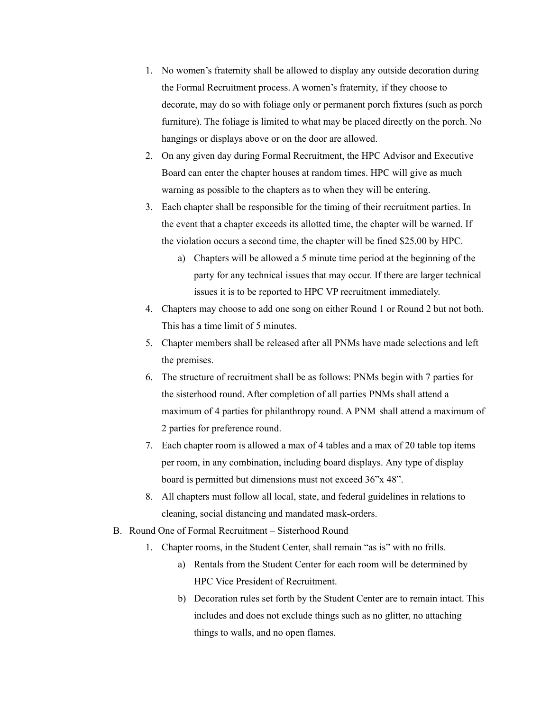- 1. No women's fraternity shall be allowed to display any outside decoration during the Formal Recruitment process. A women's fraternity, if they choose to decorate, may do so with foliage only or permanent porch fixtures (such as porch furniture). The foliage is limited to what may be placed directly on the porch. No hangings or displays above or on the door are allowed.
- 2. On any given day during Formal Recruitment, the HPC Advisor and Executive Board can enter the chapter houses at random times. HPC will give as much warning as possible to the chapters as to when they will be entering.
- 3. Each chapter shall be responsible for the timing of their recruitment parties. In the event that a chapter exceeds its allotted time, the chapter will be warned. If the violation occurs a second time, the chapter will be fined \$25.00 by HPC.
	- a) Chapters will be allowed a 5 minute time period at the beginning of the party for any technical issues that may occur. If there are larger technical issues it is to be reported to HPC VP recruitment immediately.
- 4. Chapters may choose to add one song on either Round 1 or Round 2 but not both. This has a time limit of 5 minutes.
- 5. Chapter members shall be released after all PNMs have made selections and left the premises.
- 6. The structure of recruitment shall be as follows: PNMs begin with 7 parties for the sisterhood round. After completion of all parties PNMs shall attend a maximum of 4 parties for philanthropy round. A PNM shall attend a maximum of 2 parties for preference round.
- 7. Each chapter room is allowed a max of 4 tables and a max of 20 table top items per room, in any combination, including board displays. Any type of display board is permitted but dimensions must not exceed 36"x 48".
- 8. All chapters must follow all local, state, and federal guidelines in relations to cleaning, social distancing and mandated mask-orders.
- B. Round One of Formal Recruitment Sisterhood Round
	- 1. Chapter rooms, in the Student Center, shall remain "as is" with no frills.
		- a) Rentals from the Student Center for each room will be determined by HPC Vice President of Recruitment.
		- b) Decoration rules set forth by the Student Center are to remain intact. This includes and does not exclude things such as no glitter, no attaching things to walls, and no open flames.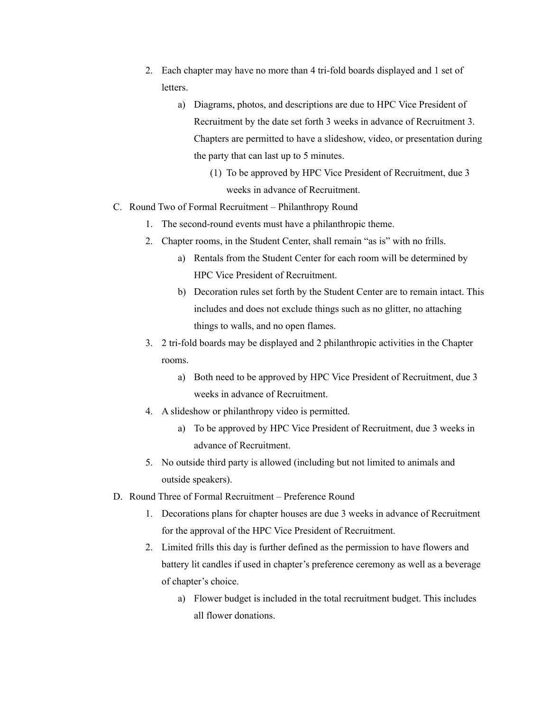- 2. Each chapter may have no more than 4 tri-fold boards displayed and 1 set of letters.
	- a) Diagrams, photos, and descriptions are due to HPC Vice President of Recruitment by the date set forth 3 weeks in advance of Recruitment 3. Chapters are permitted to have a slideshow, video, or presentation during the party that can last up to 5 minutes.
		- (1) To be approved by HPC Vice President of Recruitment, due 3 weeks in advance of Recruitment.
- C. Round Two of Formal Recruitment Philanthropy Round
	- 1. The second-round events must have a philanthropic theme.
	- 2. Chapter rooms, in the Student Center, shall remain "as is" with no frills.
		- a) Rentals from the Student Center for each room will be determined by HPC Vice President of Recruitment.
		- b) Decoration rules set forth by the Student Center are to remain intact. This includes and does not exclude things such as no glitter, no attaching things to walls, and no open flames.
	- 3. 2 tri-fold boards may be displayed and 2 philanthropic activities in the Chapter rooms.
		- a) Both need to be approved by HPC Vice President of Recruitment, due 3 weeks in advance of Recruitment.
	- 4. A slideshow or philanthropy video is permitted.
		- a) To be approved by HPC Vice President of Recruitment, due 3 weeks in advance of Recruitment.
	- 5. No outside third party is allowed (including but not limited to animals and outside speakers).
- D. Round Three of Formal Recruitment Preference Round
	- 1. Decorations plans for chapter houses are due 3 weeks in advance of Recruitment for the approval of the HPC Vice President of Recruitment.
	- 2. Limited frills this day is further defined as the permission to have flowers and battery lit candles if used in chapter's preference ceremony as well as a beverage of chapter's choice.
		- a) Flower budget is included in the total recruitment budget. This includes all flower donations.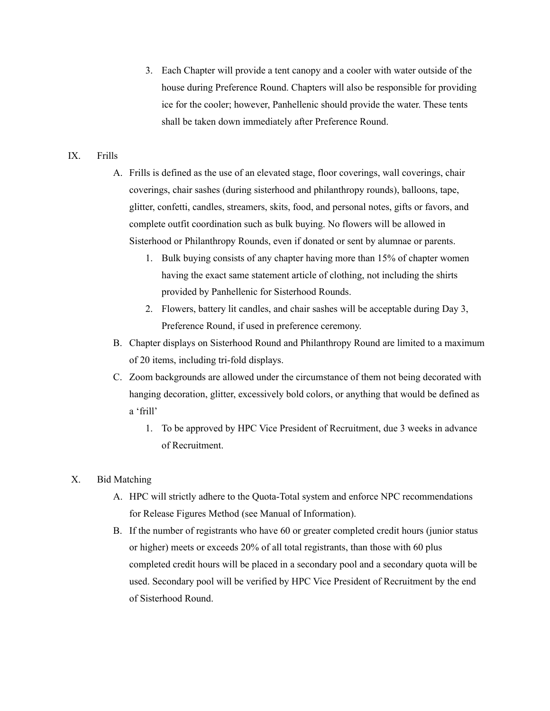3. Each Chapter will provide a tent canopy and a cooler with water outside of the house during Preference Round. Chapters will also be responsible for providing ice for the cooler; however, Panhellenic should provide the water. These tents shall be taken down immediately after Preference Round.

## IX. Frills

- A. Frills is defined as the use of an elevated stage, floor coverings, wall coverings, chair coverings, chair sashes (during sisterhood and philanthropy rounds), balloons, tape, glitter, confetti, candles, streamers, skits, food, and personal notes, gifts or favors, and complete outfit coordination such as bulk buying. No flowers will be allowed in Sisterhood or Philanthropy Rounds, even if donated or sent by alumnae or parents.
	- 1. Bulk buying consists of any chapter having more than 15% of chapter women having the exact same statement article of clothing, not including the shirts provided by Panhellenic for Sisterhood Rounds.
	- 2. Flowers, battery lit candles, and chair sashes will be acceptable during Day 3, Preference Round, if used in preference ceremony.
- B. Chapter displays on Sisterhood Round and Philanthropy Round are limited to a maximum of 20 items, including tri-fold displays.
- C. Zoom backgrounds are allowed under the circumstance of them not being decorated with hanging decoration, glitter, excessively bold colors, or anything that would be defined as a 'frill'
	- 1. To be approved by HPC Vice President of Recruitment, due 3 weeks in advance of Recruitment.

### X. Bid Matching

- A. HPC will strictly adhere to the Quota-Total system and enforce NPC recommendations for Release Figures Method (see Manual of Information).
- B. If the number of registrants who have 60 or greater completed credit hours (junior status or higher) meets or exceeds 20% of all total registrants, than those with 60 plus completed credit hours will be placed in a secondary pool and a secondary quota will be used. Secondary pool will be verified by HPC Vice President of Recruitment by the end of Sisterhood Round.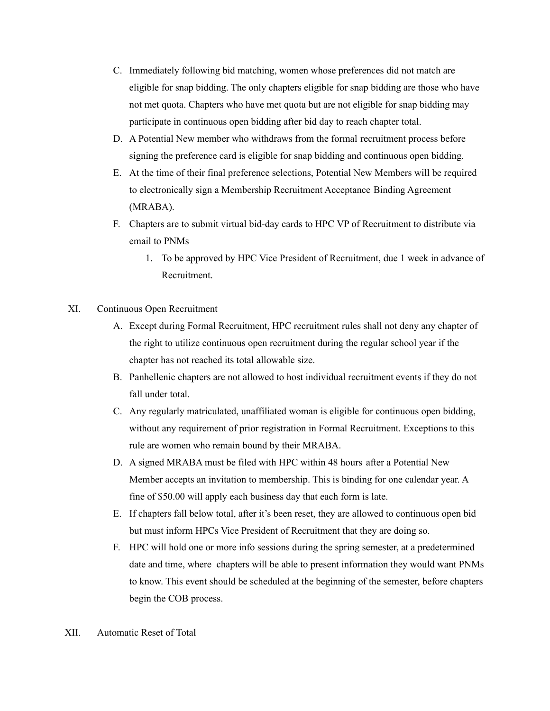- C. Immediately following bid matching, women whose preferences did not match are eligible for snap bidding. The only chapters eligible for snap bidding are those who have not met quota. Chapters who have met quota but are not eligible for snap bidding may participate in continuous open bidding after bid day to reach chapter total.
- D. A Potential New member who withdraws from the formal recruitment process before signing the preference card is eligible for snap bidding and continuous open bidding.
- E. At the time of their final preference selections, Potential New Members will be required to electronically sign a Membership Recruitment Acceptance Binding Agreement (MRABA).
- F. Chapters are to submit virtual bid-day cards to HPC VP of Recruitment to distribute via email to PNMs
	- 1. To be approved by HPC Vice President of Recruitment, due 1 week in advance of Recruitment.
- XI. Continuous Open Recruitment
	- A. Except during Formal Recruitment, HPC recruitment rules shall not deny any chapter of the right to utilize continuous open recruitment during the regular school year if the chapter has not reached its total allowable size.
	- B. Panhellenic chapters are not allowed to host individual recruitment events if they do not fall under total.
	- C. Any regularly matriculated, unaffiliated woman is eligible for continuous open bidding, without any requirement of prior registration in Formal Recruitment. Exceptions to this rule are women who remain bound by their MRABA.
	- D. A signed MRABA must be filed with HPC within 48 hours after a Potential New Member accepts an invitation to membership. This is binding for one calendar year. A fine of \$50.00 will apply each business day that each form is late.
	- E. If chapters fall below total, after it's been reset, they are allowed to continuous open bid but must inform HPCs Vice President of Recruitment that they are doing so.
	- F. HPC will hold one or more info sessions during the spring semester, at a predetermined date and time, where chapters will be able to present information they would want PNMs to know. This event should be scheduled at the beginning of the semester, before chapters begin the COB process.
- XII. Automatic Reset of Total